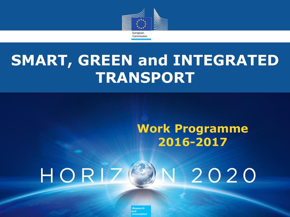

## **SMART, GREEN and INTEGRATED TRANSPORT**

## **Work Programme 2016-2017**



*Policy Research and Innovation*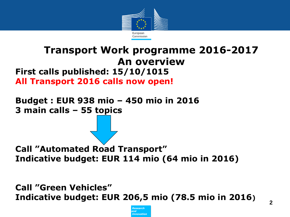

### **First calls published: 15/10/1015 All Transport 2016 calls now open! Transport Work programme 2016-2017 An overview**

**Budget : EUR 938 mio – 450 mio in 2016 3 main calls – 55 topics** 

**Call "Automated Road Transport" Indicative budget: EUR 114 mio (64 mio in 2016)**

**Call "Green Vehicles" Indicative budget: EUR 206,5 mio (78.5 mio in 2016)** 

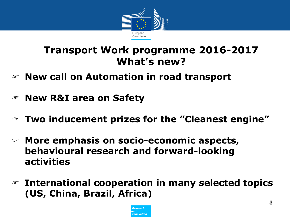

## **Transport Work programme 2016-2017 What"s new?**

- **New call on Automation in road transport**
- **New R&I area on Safety**
- **Two inducement prizes for the "Cleanest engine"**
- **More emphasis on socio-economic aspects, behavioural research and forward-looking activities**
- **International cooperation in many selected topics (US, China, Brazil, Africa)**

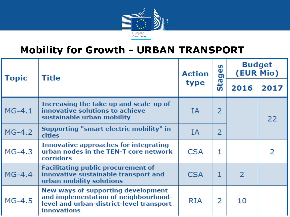

## **Mobility for Growth - URBAN TRANSPORT**

| <b>Topic</b> | Title<br>type                                                                                                                                | <b>Action</b> | မ္မ<br>G     | <b>Budget</b><br>(EUR Mio) |      |
|--------------|----------------------------------------------------------------------------------------------------------------------------------------------|---------------|--------------|----------------------------|------|
|              |                                                                                                                                              |               | Sta          | 2016                       | 2017 |
| $MG-4.1$     | Increasing the take up and scale-up of<br>innovative solutions to achieve<br>sustainable urban mobility                                      | ΙA            | 2            |                            | 22   |
| $MG-4.2$     | Supporting "smart electric mobility" in<br><b>cities</b>                                                                                     | ΙA            | 2            |                            |      |
| $MG-4.3$     | Innovative approaches for integrating<br>urban nodes in the TEN-T core network<br>corridors                                                  | <b>CSA</b>    | 1            |                            | 2    |
| $MG-4.4$     | <b>Facilitating public procurement of</b><br>innovative sustainable transport and<br>urban mobility solutions                                | <b>CSA</b>    | $\mathbf{1}$ | $\overline{2}$             |      |
| $MG-4.5$     | New ways of supporting development<br>and implementation of neighbourhood-<br>level and urban-district-level transport<br><b>innovations</b> | RIA           | 2            | 10                         |      |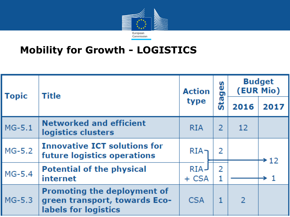

## **Mobility for Growth - LOGISTICS**

| <b>Topic</b> | Title                                                                                       | <b>Action</b> | n<br>نة<br>o       |                   | <b>Budget</b><br>(EUR Mio) |
|--------------|---------------------------------------------------------------------------------------------|---------------|--------------------|-------------------|----------------------------|
|              |                                                                                             | type          | œ<br>ູ້ທີ່<br>2016 | 2017              |                            |
| $MG-5.1$     | <b>Networked and efficient</b><br>logistics clusters                                        | <b>RIA</b>    | 2                  | $12 \overline{ }$ |                            |
| $MG-5.2$     | <b>Innovative ICT solutions for</b><br>future logistics operations                          | $RIA-$        |                    |                   | $\div 12$                  |
| $MG-5.4$     | <b>Potential of the physical</b><br>internet                                                | RIA-<br>+ CSA | $\overline{2}$     |                   | → 1                        |
| $MG-5.3$     | <b>Promoting the deployment of</b><br>green transport, towards Eco-<br>labels for logistics | <b>CSA</b>    |                    | $\mathcal{L}$     |                            |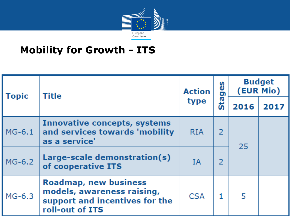

## **Mobility for Growth - ITS**

| <b>Topic</b> | Title                                                                                                           | <b>Action</b> | စ္မ<br>o<br>œ<br>type | <b>Budget</b><br>(EUR Mio) |      |
|--------------|-----------------------------------------------------------------------------------------------------------------|---------------|-----------------------|----------------------------|------|
|              |                                                                                                                 |               |                       | 2016                       | 2017 |
| $MG-6.1$     | <b>Innovative concepts, systems</b><br>and services towards 'mobility<br>as a service'                          | <b>RIA</b>    |                       | 25                         |      |
| $MG-6.2$     | Large-scale demonstration(s)<br>of cooperative ITS                                                              | <b>IA</b>     |                       |                            |      |
| MG-6.3       | <b>Roadmap, new business</b><br>models, awareness raising,<br>support and incentives for the<br>roll-out of ITS | <b>CSA</b>    |                       | 5                          |      |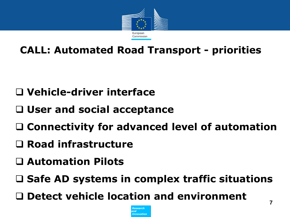

## **CALL: Automated Road Transport - priorities**

## **Vehicle-driver interface**

- **User and social acceptance**
- **Connectivity for advanced level of automation**
- **Road infrastructure**
- **Automation Pilots**
- □ Safe AD systems in complex traffic situations
- **Detect vehicle location and environment**

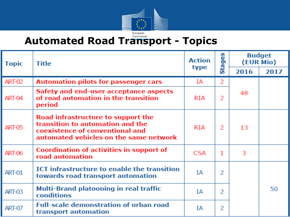

## **Automated Road Transport - Topics**

| <b>Topic</b>  | <b>Title</b>                                                                                                                                        | <b>Action</b> | S<br>ğ,    | <b>Budget</b><br>(EUR Mio) |      |
|---------------|-----------------------------------------------------------------------------------------------------------------------------------------------------|---------------|------------|----------------------------|------|
|               |                                                                                                                                                     | type          | <b>Sta</b> | 2016                       | 2017 |
| <b>ART-02</b> | <b>Automation pilots for passenger cars</b>                                                                                                         | ΙA            | 2          |                            |      |
| ART-04        | Safety and end-user acceptance aspects<br>of road automation in the transition<br>period                                                            | <b>RIA</b>    | 2          | 48                         |      |
| <b>ART-05</b> | Road infrastructure to support the<br>transition to automation and the<br>coexistence of conventional and<br>automated vehicles on the same network | <b>RIA</b>    | 2          | 13                         |      |
| <b>ART-06</b> | Coordination of activities in support of<br>road automation                                                                                         | <b>CSA</b>    | 1          | 3                          |      |
| <b>ART-01</b> | ICT infrastructure to enable the transition<br>towards road transport automation                                                                    | IΑ            | 2          |                            |      |
| <b>ART-03</b> | Multi-Brand platooning in real traffic<br><b>conditions</b>                                                                                         | IΑ            | 2          |                            | 50   |
| <b>ART-07</b> | <b>Full-scale demonstration of urban road</b><br>transport automation                                                                               | IΑ            | 2          |                            |      |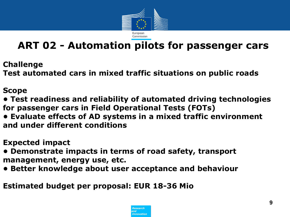

## **ART 02 - Automation pilots for passenger cars**

**Challenge** 

**Test automated cars in mixed traffic situations on public roads** 

#### **Scope**

**• Test readiness and reliability of automated driving technologies for passenger cars in Field Operational Tests (FOTs)** 

- **Evaluate effects of AD systems in a mixed traffic environment and under different conditions**
- **Expected impact**
- **Demonstrate impacts in terms of road safety, transport management, energy use, etc.**
- **Better knowledge about user acceptance and behaviour**

**Estimated budget per proposal: EUR 18-36 Mio** 

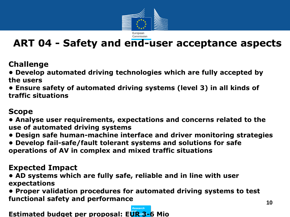

## **ART 04 - Safety and end-user acceptance aspects**

**Challenge**

**• Develop automated driving technologies which are fully accepted by the users** 

**• Ensure safety of automated driving systems (level 3) in all kinds of traffic situations** 

#### **Scope**

**• Analyse user requirements, expectations and concerns related to the use of automated driving systems** 

- **Design safe human-machine interface and driver monitoring strategies**
- **Develop fail-safe/fault tolerant systems and solutions for safe operations of AV in complex and mixed traffic situations**

#### **Expected Impact**

**• AD systems which are fully safe, reliable and in line with user expectations** 

**• Proper validation procedures for automated driving systems to test functional safety and performance**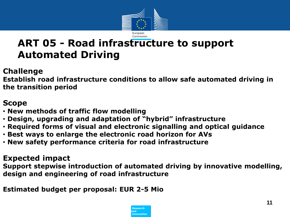

## **ART 05 - Road infrastructure to support Automated Driving**

#### **Challenge**

**Establish road infrastructure conditions to allow safe automated driving in the transition period**

#### **Scope**

- **New methods of traffic flow modelling**
- **Design, upgrading and adaptation of "hybrid" infrastructure**
- **Required forms of visual and electronic signalling and optical guidance**
- **Best ways to enlarge the electronic road horizon for AVs**
- **New safety performance criteria for road infrastructure**

#### **Expected impact**

**Support stepwise introduction of automated driving by innovative modelling, design and engineering of road infrastructure** 

**Estimated budget per proposal: EUR 2-5 Mio** 

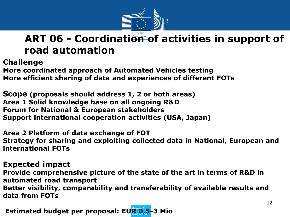

## ART 06 - Coordination of activities in support of **road automation**

**Challenge** 

**More coordinated approach of Automated Vehicles testing More efficient sharing of data and experiences of different FOTs** 

**Scope (proposals should address 1, 2 or both areas) Area 1 Solid knowledge base on all ongoing R&D Forum for National & European stakeholders Support international cooperation activities (USA, Japan)** 

**Area 2 Platform of data exchange of FOT Strategy for sharing and exploiting collected data in National, European and international FOTs** 

#### **Expected impact**

**Provide comprehensive picture of the state of the art in terms of R&D in automated road transport Better visibility, comparability and transferability of available results and data from FOTs** 

*Polimated budget per proposal: EUR 0,5-3 Mio*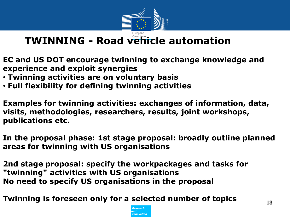

## **TWINNING - Road vehicle automation**

- **EC and US DOT encourage twinning to exchange knowledge and experience and exploit synergies**
- **Twinning activities are on voluntary basis**
- **Full flexibility for defining twinning activities**

**Examples for twinning activities: exchanges of information, data, visits, methodologies, researchers, results, joint workshops, publications etc.** 

**In the proposal phase: 1st stage proposal: broadly outline planned areas for twinning with US organisations**

**2nd stage proposal: specify the workpackages and tasks for "twinning" activities with US organisations No need to specify US organisations in the proposal** 

**Twinning is foreseen only for a selected number of topics** 

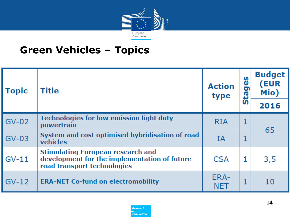

## **Green Vehicles – Topics**

| <b>Topic</b> | <b>Title</b>                                                                                                            | <b>Action</b><br>type | စ္မ<br><b>Stag</b> | <b>Budget</b><br>(EUR<br>Mio) |
|--------------|-------------------------------------------------------------------------------------------------------------------------|-----------------------|--------------------|-------------------------------|
|              |                                                                                                                         |                       |                    | 2016                          |
| $GV-02$      | <b>Technologies for low emission light duty</b><br>powertrain                                                           | <b>RIA</b>            | 1                  | 65                            |
| $GV-03$      | System and cost optimised hybridisation of road<br>vehicles                                                             | ΙA                    | 1                  |                               |
| $GV-11$      | <b>Stimulating European research and</b><br>development for the implementation of future<br>road transport technologies | <b>CSA</b>            | 1                  | 3,5                           |
| $GV-12$      | <b>ERA-NET Co-fund on electromobility</b>                                                                               | ERA-<br><b>NET</b>    | 1                  | 10                            |

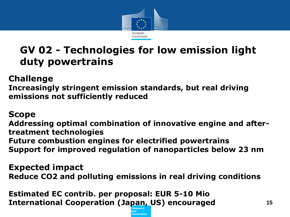

## **GV 02 - Technologies for low emission light duty powertrains**

**Challenge** 

**Increasingly stringent emission standards, but real driving emissions not sufficiently reduced** 

#### **Scope**

**Addressing optimal combination of innovative engine and aftertreatment technologies Future combustion engines for electrified powertrains Support for improved regulation of nanoparticles below 23 nm** 

**Expected impact Reduce CO2 and polluting emissions in real driving conditions** 

**Estimated EC contrib. per proposal: EUR 5-10 Mio International Cooperation (Japan, US) encouraged**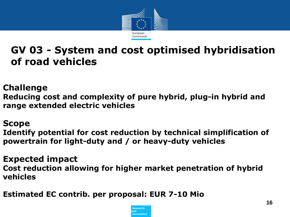

## **GV 03 - System and cost optimised hybridisation of road vehicles**

**Challenge** 

**Reducing cost and complexity of pure hybrid, plug-in hybrid and range extended electric vehicles**

#### **Scope**

**Identify potential for cost reduction by technical simplification of powertrain for light-duty and / or heavy-duty vehicles** 

**Expected impact Cost reduction allowing for higher market penetration of hybrid vehicles**

**Estimated EC contrib. per proposal: EUR 7-10 Mio** 

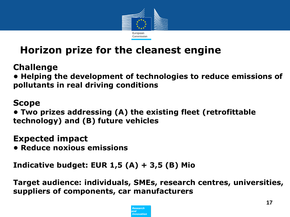

## **Horizon prize for the cleanest engine**

**Challenge** 

**• Helping the development of technologies to reduce emissions of pollutants in real driving conditions**

### **Scope**

**• Two prizes addressing (A) the existing fleet (retrofittable technology) and (B) future vehicles** 

**Expected impact** 

**• Reduce noxious emissions**

**Indicative budget: EUR 1,5 (A) + 3,5 (B) Mio** 

**Target audience: individuals, SMEs, research centres, universities, suppliers of components, car manufacturers**

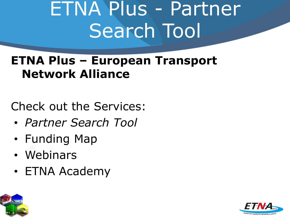# ETNA Plus - Partner Search Tool

## **ETNA Plus – European Transport Network Alliance**

Check out the Services:

- *Partner Search Tool*
- Funding Map
- Webinars
- ETNA Academy



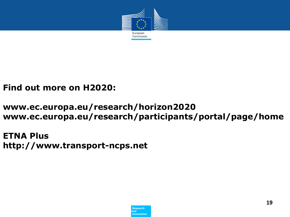

#### **Find out more on H2020:**

#### **www.ec.europa.eu/research/horizon2020 www.ec.europa.eu/research/participants/portal/page/home**

**ETNA Plus http://www.transport-ncps.net**